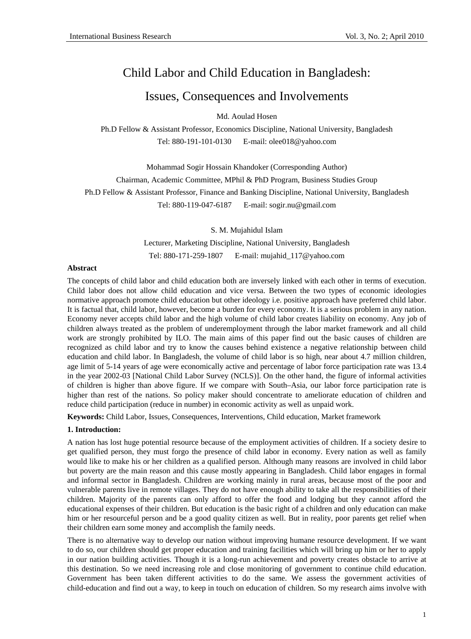# Child Labor and Child Education in Bangladesh:

## Issues, Consequences and Involvements

Md. Aoulad Hosen

Ph.D Fellow & Assistant Professor, Economics Discipline, National University, Bangladesh Tel: 880-191-101-0130 E-mail: olee018@yahoo.com

Mohammad Sogir Hossain Khandoker (Corresponding Author) Chairman, Academic Committee, MPhil & PhD Program, Business Studies Group Ph.D Fellow & Assistant Professor, Finance and Banking Discipline, National University, Bangladesh Tel: 880-119-047-6187 E-mail: sogir.nu@gmail.com

S. M. Mujahidul Islam

Lecturer, Marketing Discipline, National University, Bangladesh Tel: 880-171-259-1807 E-mail: mujahid\_117@yahoo.com

#### **Abstract**

The concepts of child labor and child education both are inversely linked with each other in terms of execution. Child labor does not allow child education and vice versa. Between the two types of economic ideologies normative approach promote child education but other ideology i.e. positive approach have preferred child labor. It is factual that, child labor, however, become a burden for every economy. It is a serious problem in any nation. Economy never accepts child labor and the high volume of child labor creates liability on economy. Any job of children always treated as the problem of underemployment through the labor market framework and all child work are strongly prohibited by ILO. The main aims of this paper find out the basic causes of children are recognized as child labor and try to know the causes behind existence a negative relationship between child education and child labor. In Bangladesh, the volume of child labor is so high, near about 4.7 million children, age limit of 5-14 years of age were economically active and percentage of labor force participation rate was 13.4 in the year 2002-03 [National Child Labor Survey (NCLS)]. On the other hand, the figure of informal activities of children is higher than above figure. If we compare with South–Asia, our labor force participation rate is higher than rest of the nations. So policy maker should concentrate to ameliorate education of children and reduce child participation (reduce in number) in economic activity as well as unpaid work.

**Keywords:** Child Labor, Issues, Consequences, Interventions, Child education, Market framework

#### **1. Introduction:**

A nation has lost huge potential resource because of the employment activities of children. If a society desire to get qualified person, they must forgo the presence of child labor in economy. Every nation as well as family would like to make his or her children as a qualified person. Although many reasons are involved in child labor but poverty are the main reason and this cause mostly appearing in Bangladesh. Child labor engages in formal and informal sector in Bangladesh. Children are working mainly in rural areas, because most of the poor and vulnerable parents live in remote villages. They do not have enough ability to take all the responsibilities of their children. Majority of the parents can only afford to offer the food and lodging but they cannot afford the educational expenses of their children. But education is the basic right of a children and only education can make him or her resourceful person and be a good quality citizen as well. But in reality, poor parents get relief when their children earn some money and accomplish the family needs.

There is no alternative way to develop our nation without improving humane resource development. If we want to do so, our children should get proper education and training facilities which will bring up him or her to apply in our nation building activities. Though it is a long-run achievement and poverty creates obstacle to arrive at this destination. So we need increasing role and close monitoring of government to continue child education. Government has been taken different activities to do the same. We assess the government activities of child-education and find out a way, to keep in touch on education of children. So my research aims involve with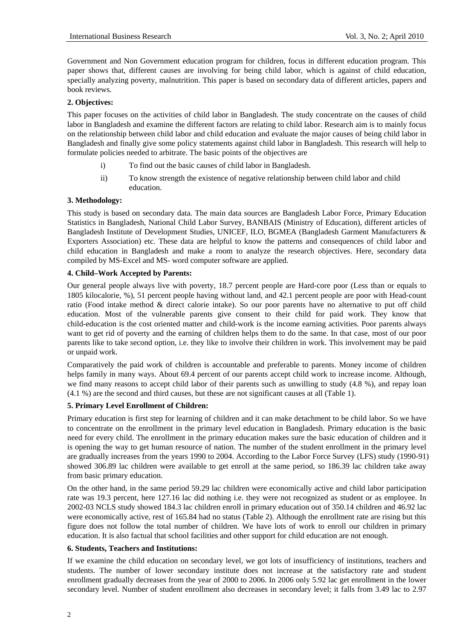Government and Non Government education program for children, focus in different education program. This paper shows that, different causes are involving for being child labor, which is against of child education, specially analyzing poverty, malnutrition. This paper is based on secondary data of different articles, papers and book reviews.

## **2. Objectives:**

This paper focuses on the activities of child labor in Bangladesh. The study concentrate on the causes of child labor in Bangladesh and examine the different factors are relating to child labor. Research aim is to mainly focus on the relationship between child labor and child education and evaluate the major causes of being child labor in Bangladesh and finally give some policy statements against child labor in Bangladesh. This research will help to formulate policies needed to arbitrate. The basic points of the objectives are

- i) To find out the basic causes of child labor in Bangladesh.
- ii) To know strength the existence of negative relationship between child labor and child education.

## **3. Methodology:**

This study is based on secondary data. The main data sources are Bangladesh Labor Force, Primary Education Statistics in Bangladesh, National Child Labor Survey, BANBAIS (Ministry of Education), different articles of Bangladesh Institute of Development Studies, UNICEF, ILO, BGMEA (Bangladesh Garment Manufacturers & Exporters Association) etc. These data are helpful to know the patterns and consequences of child labor and child education in Bangladesh and make a room to analyze the research objectives. Here, secondary data compiled by MS-Excel and MS- word computer software are applied.

## **4. Child–Work Accepted by Parents:**

Our general people always live with poverty, 18.7 percent people are Hard-core poor (Less than or equals to 1805 kilocalorie, %), 51 percent people having without land, and 42.1 percent people are poor with Head-count ratio (Food intake method & direct calorie intake). So our poor parents have no alternative to put off child education. Most of the vulnerable parents give consent to their child for paid work. They know that child-education is the cost oriented matter and child-work is the income earning activities. Poor parents always want to get rid of poverty and the earning of children helps them to do the same. In that case, most of our poor parents like to take second option, i.e. they like to involve their children in work. This involvement may be paid or unpaid work.

Comparatively the paid work of children is accountable and preferable to parents. Money income of children helps family in many ways. About 69.4 percent of our parents accept child work to increase income. Although, we find many reasons to accept child labor of their parents such as unwilling to study (4.8 %), and repay loan (4.1 %) are the second and third causes, but these are not significant causes at all (Table 1).

## **5. Primary Level Enrollment of Children:**

Primary education is first step for learning of children and it can make detachment to be child labor. So we have to concentrate on the enrollment in the primary level education in Bangladesh. Primary education is the basic need for every child. The enrollment in the primary education makes sure the basic education of children and it is opening the way to get human resource of nation. The number of the student enrollment in the primary level are gradually increases from the years 1990 to 2004. According to the Labor Force Survey (LFS) study (1990-91) showed 306.89 lac children were available to get enroll at the same period, so 186.39 lac children take away from basic primary education.

On the other hand, in the same period 59.29 lac children were economically active and child labor participation rate was 19.3 percent, here 127.16 lac did nothing i.e. they were not recognized as student or as employee. In 2002-03 NCLS study showed 184.3 lac children enroll in primary education out of 350.14 children and 46.92 lac were economically active, rest of 165.84 had no status (Table 2). Although the enrollment rate are rising but this figure does not follow the total number of children. We have lots of work to enroll our children in primary education. It is also factual that school facilities and other support for child education are not enough.

## **6. Students, Teachers and Institutions:**

If we examine the child education on secondary level, we got lots of insufficiency of institutions, teachers and students. The number of lower secondary institute does not increase at the satisfactory rate and student enrollment gradually decreases from the year of 2000 to 2006. In 2006 only 5.92 lac get enrollment in the lower secondary level. Number of student enrollment also decreases in secondary level; it falls from 3.49 lac to 2.97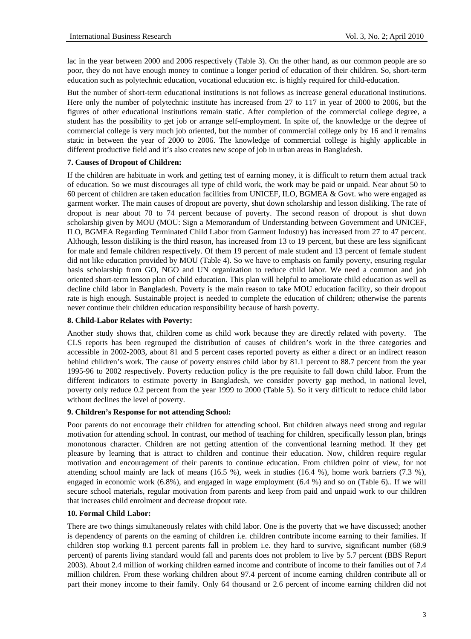lac in the year between 2000 and 2006 respectively (Table 3). On the other hand, as our common people are so poor, they do not have enough money to continue a longer period of education of their children. So, short-term education such as polytechnic education, vocational education etc. is highly required for child-education.

But the number of short-term educational institutions is not follows as increase general educational institutions. Here only the number of polytechnic institute has increased from 27 to 117 in year of 2000 to 2006, but the figures of other educational institutions remain static. After completion of the commercial college degree, a student has the possibility to get job or arrange self-employment. In spite of, the knowledge or the degree of commercial college is very much job oriented, but the number of commercial college only by 16 and it remains static in between the year of 2000 to 2006. The knowledge of commercial college is highly applicable in different productive field and it's also creates new scope of job in urban areas in Bangladesh.

## **7. Causes of Dropout of Children:**

If the children are habituate in work and getting test of earning money, it is difficult to return them actual track of education. So we must discourages all type of child work, the work may be paid or unpaid. Near about 50 to 60 percent of children are taken education facilities from UNICEF, ILO, BGMEA & Govt. who were engaged as garment worker. The main causes of dropout are poverty, shut down scholarship and lesson disliking. The rate of dropout is near about 70 to 74 percent because of poverty. The second reason of dropout is shut down scholarship given by MOU (MOU: Sign a Memorandum of Understanding between Government and UNICEF, ILO, BGMEA Regarding Terminated Child Labor from Garment Industry) has increased from 27 to 47 percent. Although, lesson disliking is the third reason, has increased from 13 to 19 percent, but these are less significant for male and female children respectively. Of them 19 percent of male student and 13 percent of female student did not like education provided by MOU (Table 4). So we have to emphasis on family poverty, ensuring regular basis scholarship from GO, NGO and UN organization to reduce child labor. We need a common and job oriented short-term lesson plan of child education. This plan will helpful to ameliorate child education as well as decline child labor in Bangladesh. Poverty is the main reason to take MOU education facility, so their dropout rate is high enough. Sustainable project is needed to complete the education of children; otherwise the parents never continue their children education responsibility because of harsh poverty.

## **8. Child-Labor Relates with Poverty:**

Another study shows that, children come as child work because they are directly related with poverty. The CLS reports has been regrouped the distribution of causes of children's work in the three categories and accessible in 2002-2003, about 81 and 5 percent cases reported poverty as either a direct or an indirect reason behind children's work. The cause of poverty ensures child labor by 81.1 percent to 88.7 percent from the year 1995-96 to 2002 respectively. Poverty reduction policy is the pre requisite to fall down child labor. From the different indicators to estimate poverty in Bangladesh, we consider poverty gap method, in national level, poverty only reduce 0.2 percent from the year 1999 to 2000 (Table 5). So it very difficult to reduce child labor without declines the level of poverty.

## **9. Children's Response for not attending School:**

Poor parents do not encourage their children for attending school. But children always need strong and regular motivation for attending school. In contrast, our method of teaching for children, specifically lesson plan, brings monotonous character. Children are not getting attention of the conventional learning method. If they get pleasure by learning that is attract to children and continue their education. Now, children require regular motivation and encouragement of their parents to continue education. From children point of view, for not attending school mainly are lack of means (16.5 %), week in studies (16.4 %), home work barriers (7.3 %), engaged in economic work (6.8%), and engaged in wage employment (6.4 %) and so on (Table 6).. If we will secure school materials, regular motivation from parents and keep from paid and unpaid work to our children that increases child enrolment and decrease dropout rate.

## **10. Formal Child Labor:**

There are two things simultaneously relates with child labor. One is the poverty that we have discussed; another is dependency of parents on the earning of children i.e. children contribute income earning to their families. If children stop working 8.1 percent parents fall in problem i.e. they hard to survive, significant number (68.9 percent) of parents living standard would fall and parents does not problem to live by 5.7 percent (BBS Report 2003). About 2.4 million of working children earned income and contribute of income to their families out of 7.4 million children. From these working children about 97.4 percent of income earning children contribute all or part their money income to their family. Only 64 thousand or 2.6 percent of income earning children did not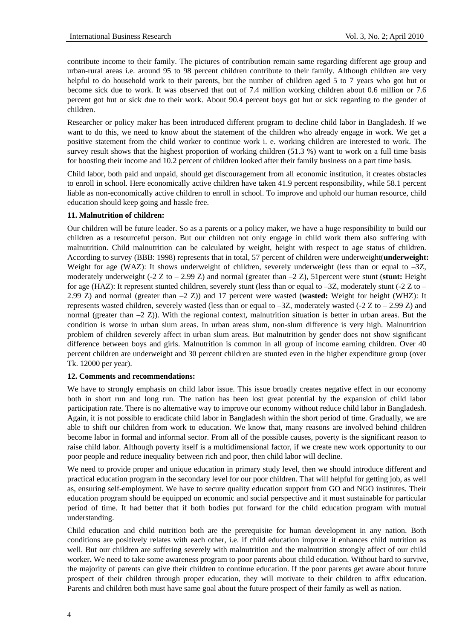contribute income to their family. The pictures of contribution remain same regarding different age group and urban-rural areas i.e. around 95 to 98 percent children contribute to their family. Although children are very helpful to do household work to their parents, but the number of children aged 5 to 7 years who got hut or become sick due to work. It was observed that out of 7.4 million working children about 0.6 million or 7.6 percent got hut or sick due to their work. About 90.4 percent boys got hut or sick regarding to the gender of children.

Researcher or policy maker has been introduced different program to decline child labor in Bangladesh. If we want to do this, we need to know about the statement of the children who already engage in work. We get a positive statement from the child worker to continue work i. e. working children are interested to work. The survey result shows that the highest proportion of working children (51.3 %) want to work on a full time basis for boosting their income and 10.2 percent of children looked after their family business on a part time basis.

Child labor, both paid and unpaid, should get discouragement from all economic institution, it creates obstacles to enroll in school. Here economically active children have taken 41.9 percent responsibility, while 58.1 percent liable as non-economically active children to enroll in school. To improve and uphold our human resource, child education should keep going and hassle free.

## **11. Malnutrition of children:**

Our children will be future leader. So as a parents or a policy maker, we have a huge responsibility to build our children as a resourceful person. But our children not only engage in child work them also suffering with malnutrition. Child malnutrition can be calculated by weight, height with respect to age status of children. According to survey (BBB: 1998) represents that in total, 57 percent of children were underweight(**underweight:** Weight for age (WAZ): It shows underweight of children, severely underweight (less than or equal to  $-3Z$ , moderately underweight (-2 Z to – 2.99 Z) and normal (greater than –2 Z), 51percent were stunt (**stunt:** Height for age (HAZ): It represent stunted children, severely stunt (less than or equal to  $-3Z$ , moderately stunt (-2 Z to – 2.99 Z) and normal (greater than –2 Z)) and 17 percent were wasted (**wasted:** Weight for height (WHZ): It represents wasted children, severely wasted (less than or equal to –3Z, moderately wasted (-2 Z to – 2.99 Z) and normal (greater than –2 Z)). With the regional context, malnutrition situation is better in urban areas. But the condition is worse in urban slum areas. In urban areas slum, non-slum difference is very high. Malnutrition problem of children severely affect in urban slum areas. But malnutrition by gender does not show significant difference between boys and girls. Malnutrition is common in all group of income earning children. Over 40 percent children are underweight and 30 percent children are stunted even in the higher expenditure group (over Tk. 12000 per year).

## **12. Comments and recommendations:**

We have to strongly emphasis on child labor issue. This issue broadly creates negative effect in our economy both in short run and long run. The nation has been lost great potential by the expansion of child labor participation rate. There is no alternative way to improve our economy without reduce child labor in Bangladesh. Again, it is not possible to eradicate child labor in Bangladesh within the short period of time. Gradually, we are able to shift our children from work to education. We know that, many reasons are involved behind children become labor in formal and informal sector. From all of the possible causes, poverty is the significant reason to raise child labor. Although poverty itself is a multidimensional factor, if we create new work opportunity to our poor people and reduce inequality between rich and poor, then child labor will decline.

We need to provide proper and unique education in primary study level, then we should introduce different and practical education program in the secondary level for our poor children. That will helpful for getting job, as well as, ensuring self-employment. We have to secure quality education support from GO and NGO institutes. Their education program should be equipped on economic and social perspective and it must sustainable for particular period of time. It had better that if both bodies put forward for the child education program with mutual understanding.

Child education and child nutrition both are the prerequisite for human development in any nation. Both conditions are positively relates with each other, i.e. if child education improve it enhances child nutrition as well. But our children are suffering severely with malnutrition and the malnutrition strongly affect of our child worker**.** We need to take some awareness program to poor parents about child education. Without hard to survive, the majority of parents can give their children to continue education. If the poor parents get aware about future prospect of their children through proper education, they will motivate to their children to affix education. Parents and children both must have same goal about the future prospect of their family as well as nation.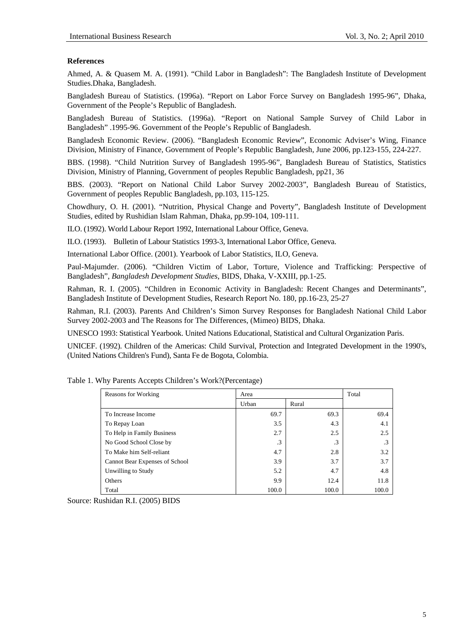## **References**

Ahmed, A. & Quasem M. A. (1991). "Child Labor in Bangladesh": The Bangladesh Institute of Development Studies.Dhaka, Bangladesh.

Bangladesh Bureau of Statistics. (1996a). "Report on Labor Force Survey on Bangladesh 1995-96", Dhaka, Government of the People's Republic of Bangladesh.

Bangladesh Bureau of Statistics. (1996a). "Report on National Sample Survey of Child Labor in Bangladesh" .1995-96. Government of the People's Republic of Bangladesh.

Bangladesh Economic Review. (2006). "Bangladesh Economic Review", Economic Adviser's Wing, Finance Division, Ministry of Finance, Government of People's Republic Bangladesh, June 2006, pp.123-155, 224-227.

BBS. (1998). "Child Nutrition Survey of Bangladesh 1995-96", Bangladesh Bureau of Statistics, Statistics Division, Ministry of Planning, Government of peoples Republic Bangladesh, pp21, 36

BBS. (2003). "Report on National Child Labor Survey 2002-2003", Bangladesh Bureau of Statistics, Government of peoples Republic Bangladesh, pp.103, 115-125.

Chowdhury, O. H. (2001). "Nutrition, Physical Change and Poverty", Bangladesh Institute of Development Studies*,* edited by Rushidian Islam Rahman, Dhaka, pp.99-104, 109-111.

ILO. (1992). World Labour Report 1992, International Labour Office, Geneva.

ILO. (1993). Bulletin of Labour Statistics 1993-3, International Labor Office, Geneva.

International Labor Office. (2001). Yearbook of Labor Statistics, ILO, Geneva.

Paul-Majumder. (2006). "Children Victim of Labor, Torture, Violence and Trafficking: Perspective of Bangladesh", *Bangladesh Development Studies*, BIDS, Dhaka, V-XXIII, pp.1-25.

Rahman, R. I. (2005). "Children in Economic Activity in Bangladesh: Recent Changes and Determinants", Bangladesh Institute of Development Studies, Research Report No. 180, pp.16-23, 25-27

Rahman, R.I. (2003). Parents And Children's Simon Survey Responses for Bangladesh National Child Labor Survey 2002-2003 and The Reasons for The Differences, (Mimeo) BIDS, Dhaka.

UNESCO 1993: Statistical Yearbook. United Nations Educational, Statistical and Cultural Organization Paris.

UNICEF. (1992). Children of the Americas: Child Survival, Protection and Integrated Development in the 1990's, (United Nations Children's Fund), Santa Fe de Bogota, Colombia.

| Reasons for Working            | Area      |           |       |  |  |
|--------------------------------|-----------|-----------|-------|--|--|
|                                | Urban     | Rural     |       |  |  |
| To Increase Income             | 69.7      | 69.3      | 69.4  |  |  |
| To Repay Loan                  | 3.5       | 4.3       | 4.1   |  |  |
| To Help in Family Business     | 2.7       | 2.5       | 2.5   |  |  |
| No Good School Close by        | $\cdot$ 3 | $\cdot$ 3 | .3    |  |  |
| To Make him Self-reliant       | 4.7       | 2.8       | 3.2   |  |  |
| Cannot Bear Expenses of School | 3.9       | 3.7       | 3.7   |  |  |
| Unwilling to Study             | 5.2       | 4.7       | 4.8   |  |  |
| Others                         | 9.9       | 12.4      | 11.8  |  |  |
| Total                          | 100.0     | 100.0     | 100.0 |  |  |

Table 1. Why Parents Accepts Children's Work?(Percentage)

Source: Rushidan R.I. (2005) BIDS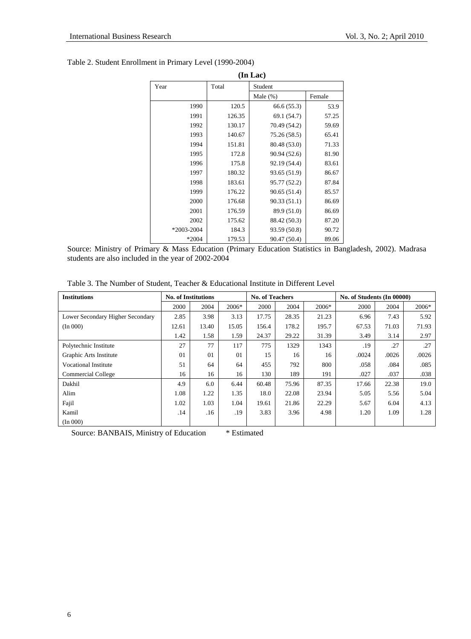| (In Lac)       |        |              |        |  |  |  |
|----------------|--------|--------------|--------|--|--|--|
| Year           | Total  | Student      |        |  |  |  |
|                |        | Male $(\%)$  | Female |  |  |  |
| 1990           | 120.5  | 66.6(55.3)   | 53.9   |  |  |  |
| 1991           | 126.35 | 69.1 (54.7)  | 57.25  |  |  |  |
| 1992           | 130.17 | 70.49 (54.2) | 59.69  |  |  |  |
| 1993           | 140.67 | 75.26 (58.5) | 65.41  |  |  |  |
| 1994           | 151.81 | 80.48 (53.0) | 71.33  |  |  |  |
| 1995           | 172.8  | 90.94 (52.6) | 81.90  |  |  |  |
| 1996           | 175.8  | 92.19 (54.4) | 83.61  |  |  |  |
| 1997           | 180.32 | 93.65 (51.9) | 86.67  |  |  |  |
| 1998           | 183.61 | 95.77 (52.2) | 87.84  |  |  |  |
| 1999           | 176.22 | 90.65 (51.4) | 85.57  |  |  |  |
| 2000           | 176.68 | 90.33(51.1)  | 86.69  |  |  |  |
| 2001           | 176.59 | 89.9 (51.0)  | 86.69  |  |  |  |
| 2002           | 175.62 | 88.42 (50.3) | 87.20  |  |  |  |
| $*2003 - 2004$ | 184.3  | 93.59 (50.8) | 90.72  |  |  |  |
| $*2004$        | 179.53 | 90.47 (50.4) | 89.06  |  |  |  |

## Table 2. Student Enrollment in Primary Level (1990-2004)

Source: Ministry of Primary & Mass Education (Primary Education Statistics in Bangladesh, 2002). Madrasa students are also included in the year of 2002-2004

|  |  |  |  |  |  | Table 3. The Number of Student, Teacher & Educational Institute in Different Level |  |  |  |  |
|--|--|--|--|--|--|------------------------------------------------------------------------------------|--|--|--|--|
|--|--|--|--|--|--|------------------------------------------------------------------------------------|--|--|--|--|

| <b>Institutions</b>              | <b>No. of Institutions</b> |       |       | <b>No. of Teachers</b> |       |       | No. of Students (In 00000) |       |       |
|----------------------------------|----------------------------|-------|-------|------------------------|-------|-------|----------------------------|-------|-------|
|                                  | 2000                       | 2004  | 2006* | 2000                   | 2004  | 2006* | 2000                       | 2004  | 2006* |
| Lower Secondary Higher Secondary | 2.85                       | 3.98  | 3.13  | 17.75                  | 28.35 | 21.23 | 6.96                       | 7.43  | 5.92  |
| (In 000)                         | 12.61                      | 13.40 | 15.05 | 156.4                  | 178.2 | 195.7 | 67.53                      | 71.03 | 71.93 |
|                                  | 1.42                       | 1.58  | 1.59  | 24.37                  | 29.22 | 31.39 | 3.49                       | 3.14  | 2.97  |
| Polytechnic Institute            | 27                         | 77    | 117   | 775                    | 1329  | 1343  | .19                        | .27   | .27   |
| Graphic Arts Institute           | 01                         | 01    | 01    | 15                     | 16    | 16    | .0024                      | .0026 | .0026 |
| <b>Vocational Institute</b>      | 51                         | 64    | 64    | 455                    | 792   | 800   | .058                       | .084  | .085  |
| <b>Commercial College</b>        | 16                         | 16    | 16    | 130                    | 189   | 191   | .027                       | .037  | .038  |
| Dakhil                           | 4.9                        | 6.0   | 6.44  | 60.48                  | 75.96 | 87.35 | 17.66                      | 22.38 | 19.0  |
| Alim                             | 1.08                       | 1.22  | 1.35  | 18.0                   | 22.08 | 23.94 | 5.05                       | 5.56  | 5.04  |
| Fajil                            | 1.02                       | 1.03  | 1.04  | 19.61                  | 21.86 | 22.29 | 5.67                       | 6.04  | 4.13  |
| Kamil                            | .14                        | .16   | .19   | 3.83                   | 3.96  | 4.98  | 1.20                       | 1.09  | 1.28  |
| (In 000)                         |                            |       |       |                        |       |       |                            |       |       |

Source: BANBAIS, Ministry of Education \* Estimated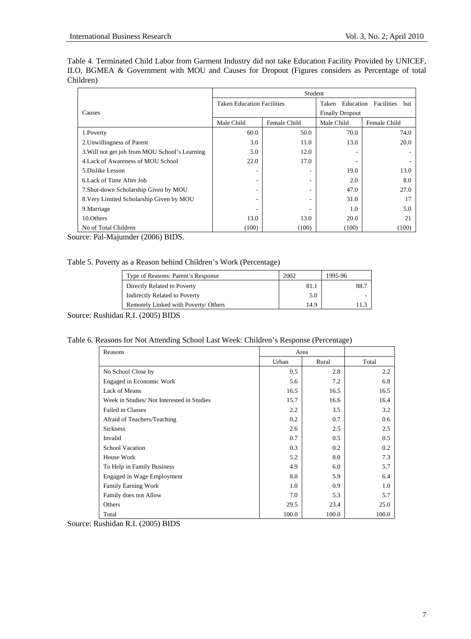Table 4. Terminated Child Labor from Garment Industry did not take Education Facility Provided by UNICEF, ILO, BGMEA & Government with MOU and Causes for Dropout (Figures considers as Percentage of total Children)

|                                                | Student                           |              |                        |                   |  |  |  |
|------------------------------------------------|-----------------------------------|--------------|------------------------|-------------------|--|--|--|
|                                                | <b>Taken Education Facilities</b> |              | Education<br>Taken     | Facilities<br>but |  |  |  |
| Causes                                         |                                   |              | <b>Finally Dropout</b> |                   |  |  |  |
|                                                | Male Child                        | Female Child | Male Child             | Female Child      |  |  |  |
| 1.Poverty                                      | 60.0                              | 50.0         | 70.0                   | 74.0              |  |  |  |
| 2. Unwillingness of Parent                     | 3.0                               | 11.0         | 13.0                   | 20.0              |  |  |  |
| 3. Will not get job from MOU School's Learning | 5.0                               | 12.0         |                        |                   |  |  |  |
| 4. Lack of Awareness of MOU School             | 22.0                              | 17.0         |                        |                   |  |  |  |
| 5. Dislike Lesson                              |                                   |              | 19.0                   | 13.0              |  |  |  |
| 6. Lack of Time After Job                      |                                   | ۰            | 2.0                    | 8.0               |  |  |  |
| 7. Shut-down Scholarship Given by MOU          |                                   |              | 47.0                   | 27.0              |  |  |  |
| 8. Very Limited Scholarship Given by MOU       |                                   | ۰            | 31.0                   | 17                |  |  |  |
| 9. Marriage                                    |                                   |              | 1.0                    | 5.0               |  |  |  |
| 10. Others                                     | 13.0                              | 13.0         | 20.0                   | 21                |  |  |  |
| No of Total Children                           | (100)                             | (100)        | (100)                  | (100)             |  |  |  |

Source: Pal-Majumder (2006) BIDS.

| Type of Reasons: Parent's Response   | 2002 | 1995-96 |
|--------------------------------------|------|---------|
| Directly Related to Poverty          | 81.1 | -88.7   |
| <b>Indirectly Related to Poverty</b> | 5.0  |         |
| Remotely Linked with Poverty/ Others | 14.9 |         |

Source: Rushidan R.I. (2005) BIDS

Table 6. Reasons for Not Attending School Last Week: Children's Response (Percentage)

| Reasons                                   | Area  |       |       |
|-------------------------------------------|-------|-------|-------|
|                                           | Urban | Rural | Total |
| No School Close by                        | 0.5   | 2.8   | 2.2   |
| Engaged in Economic Work                  | 5.6   | 7.2   | 6.8   |
| Lack of Means                             | 16.5  | 16.5  | 16.5  |
| Week in Studies/Not Interested in Studies | 15.7  | 16.6  | 16.4  |
| <b>Failed in Classes</b>                  | 2.2   | 3.5   | 3.2   |
| Afraid of Teachers/Teaching               | 0.2   | 0.7   | 0.6   |
| <b>Sickness</b>                           | 2.6   | 2.5   | 2.5   |
| Invalid                                   | 0.7   | 0.5   | 0.5   |
| <b>School Vacation</b>                    | 0.3   | 0.2   | 0.2   |
| House Work                                | 5.2   | 8.0   | 7.3   |
| To Help in Family Business                | 4.9   | 6.0   | 5.7   |
| <b>Engaged in Wage Employment</b>         | 8.0   | 5.9   | 6.4   |
| Family Earning Work                       | 1.0   | 0.9   | 1.0   |
| Family does not Allow                     | 7.0   | 5.3   | 5.7   |
| Others                                    | 29.5  | 23.4  | 25.0  |
| Total                                     | 100.0 | 100.0 | 100.0 |

Source: Rushidan R.I. (2005) BIDS